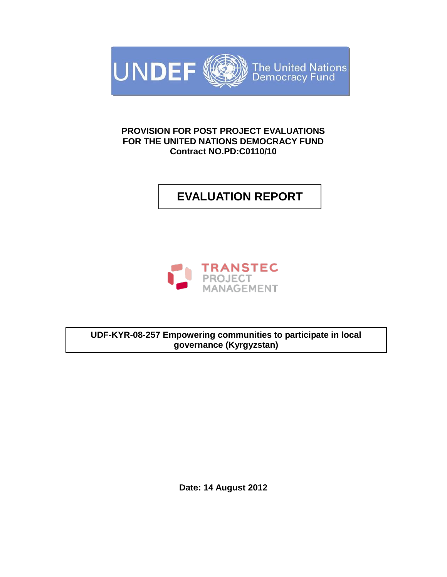

# **PROVISION FOR POST PROJECT EVALUATIONS FOR THE UNITED NATIONS DEMOCRACY FUND Contract NO.PD:C0110/10**

**EVALUATION REPORT**



**UDF-KYR-08-257 Empowering communities to participate in local governance (Kyrgyzstan)**

**Date: 14 August 2012**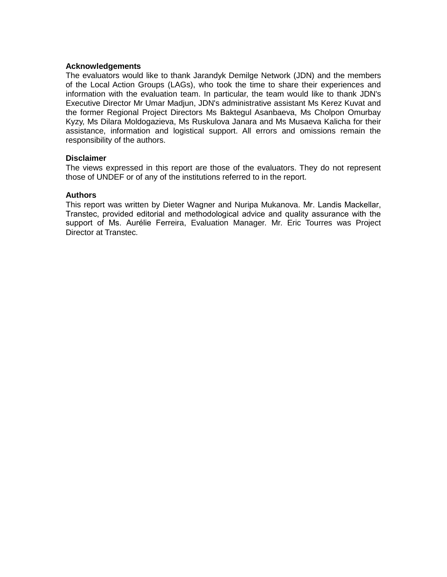#### **Acknowledgements**

The evaluators would like to thank Jarandyk Demilge Network (JDN) and the members of the Local Action Groups (LAGs), who took the time to share their experiences and information with the evaluation team. In particular, the team would like to thank JDN's Executive Director Mr Umar Madjun, JDN's administrative assistant Ms Kerez Kuvat and the former Regional Project Directors Ms Baktegul Asanbaeva, Ms Cholpon Omurbay Kyzy, Ms Dilara Moldogazieva, Ms Ruskulova Janara and Ms Musaeva Kalicha for their assistance, information and logistical support. All errors and omissions remain the responsibility of the authors.

#### **Disclaimer**

The views expressed in this report are those of the evaluators. They do not represent those of UNDEF or of any of the institutions referred to in the report.

#### **Authors**

This report was written by Dieter Wagner and Nuripa Mukanova. Mr. Landis Mackellar, Transtec, provided editorial and methodological advice and quality assurance with the support of Ms. Aurélie Ferreira, Evaluation Manager. Mr. Eric Tourres was Project Director at Transtec.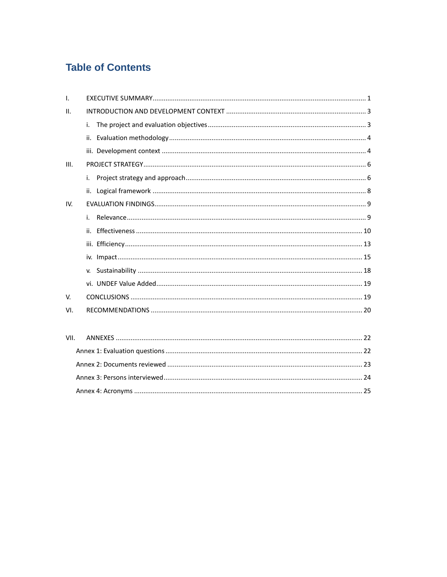# **Table of Contents**

| $\mathbf{I}$ . |     |
|----------------|-----|
| II.            |     |
|                | i.  |
|                | ii. |
|                |     |
| III.           |     |
|                | i.  |
|                | ii. |
| IV.            |     |
|                | i.  |
|                | ii. |
|                |     |
|                |     |
|                |     |
|                |     |
| V.             |     |
| VI.            |     |
|                |     |
| VII.           |     |
|                |     |
|                |     |
|                |     |
|                |     |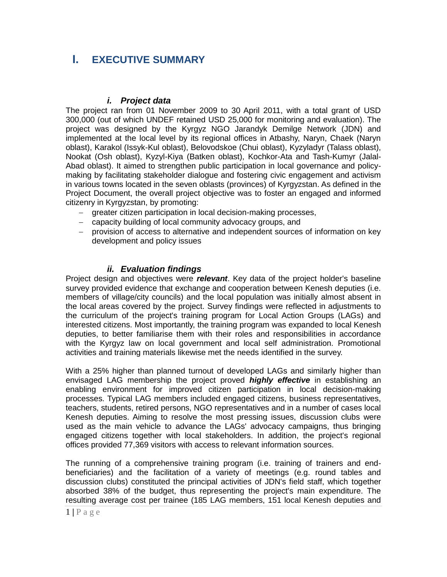# **I. EXECUTIVE SUMMARY**

## *i. Project data*

The project ran from 01 November 2009 to 30 April 2011, with a total grant of USD 300,000 (out of which UNDEF retained USD 25,000 for monitoring and evaluation). The project was designed by the Kyrgyz NGO Jarandyk Demilge Network (JDN) and implemented at the local level by its regional offices in Atbashy, Naryn, Chaek (Naryn oblast), Karakol (Issyk-Kul oblast), Belovodskoe (Chui oblast), Kyzyladyr (Talass oblast), Nookat (Osh oblast), Kyzyl-Kiya (Batken oblast), Kochkor-Ata and Tash-Kumyr (Jalal-Abad oblast). It aimed to strengthen public participation in local governance and policymaking by facilitating stakeholder dialogue and fostering civic engagement and activism in various towns located in the seven oblasts (provinces) of Kyrgyzstan. As defined in the Project Document, the overall project objective was to foster an engaged and informed citizenry in Kyrgyzstan, by promoting:

- greater citizen participation in local decision-making processes,
- capacity building of local community advocacy groups, and
- provision of access to alternative and independent sources of information on key development and policy issues

# *ii. Evaluation findings*

Project design and objectives were *relevant*. Key data of the project holder's baseline survey provided evidence that exchange and cooperation between Kenesh deputies (i.e. members of village/city councils) and the local population was initially almost absent in the local areas covered by the project. Survey findings were reflected in adjustments to the curriculum of the project's training program for Local Action Groups (LAGs) and interested citizens. Most importantly, the training program was expanded to local Kenesh deputies, to better familiarise them with their roles and responsibilities in accordance with the Kyrgyz law on local government and local self administration. Promotional activities and training materials likewise met the needs identified in the survey.

With a 25% higher than planned turnout of developed LAGs and similarly higher than envisaged LAG membership the project proved *highly effective* in establishing an enabling environment for improved citizen participation in local decision-making processes. Typical LAG members included engaged citizens, business representatives, teachers, students, retired persons, NGO representatives and in a number of cases local Kenesh deputies. Aiming to resolve the most pressing issues, discussion clubs were used as the main vehicle to advance the LAGs' advocacy campaigns, thus bringing engaged citizens together with local stakeholders. In addition, the project's regional offices provided 77,369 visitors with access to relevant information sources.

The running of a comprehensive training program (i.e. training of trainers and endbeneficiaries) and the facilitation of a variety of meetings (e.g. round tables and discussion clubs) constituted the principal activities of JDN's field staff, which together absorbed 38% of the budget, thus representing the project's main expenditure. The resulting average cost per trainee (185 LAG members, 151 local Kenesh deputies and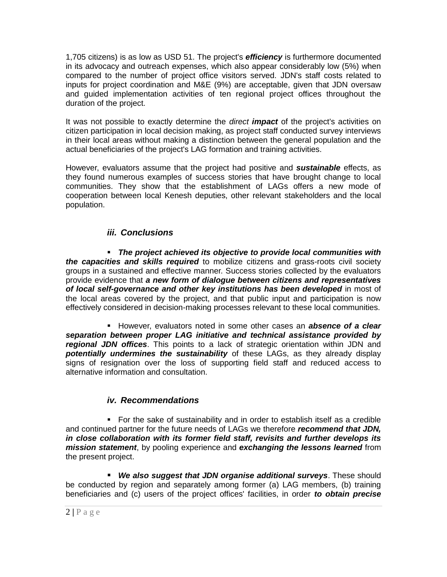1,705 citizens) is as low as USD 51. The project's *efficiency* is furthermore documented in its advocacy and outreach expenses, which also appear considerably low (5%) when compared to the number of project office visitors served. JDN's staff costs related to inputs for project coordination and M&E (9%) are acceptable, given that JDN oversaw and guided implementation activities of ten regional project offices throughout the duration of the project.

It was not possible to exactly determine the *direct impact* of the project's activities on citizen participation in local decision making, as project staff conducted survey interviews in their local areas without making a distinction between the general population and the actual beneficiaries of the project's LAG formation and training activities.

However, evaluators assume that the project had positive and *sustainable* effects, as they found numerous examples of success stories that have brought change to local communities. They show that the establishment of LAGs offers a new mode of cooperation between local Kenesh deputies, other relevant stakeholders and the local population.

# *iii. Conclusions*

 *The project achieved its objective to provide local communities with the capacities and skills required* to mobilize citizens and grass-roots civil society groups in a sustained and effective manner. Success stories collected by the evaluators provide evidence that *a new form of dialogue between citizens and representatives of local self-governance and other key institutions has been developed* in most of the local areas covered by the project, and that public input and participation is now effectively considered in decision-making processes relevant to these local communities.

**However, evaluators noted in some other cases an** *absence of a clear separation between proper LAG initiative and technical assistance provided by regional JDN offices*. This points to a lack of strategic orientation within JDN and *potentially undermines the sustainability* of these LAGs, as they already display signs of resignation over the loss of supporting field staff and reduced access to alternative information and consultation.

# *iv. Recommendations*

 For the sake of sustainability and in order to establish itself as a credible and continued partner for the future needs of LAGs we therefore *recommend that JDN, in close collaboration with its former field staff, revisits and further develops its mission statement*, by pooling experience and *exchanging the lessons learned* from the present project.

 *We also suggest that JDN organise additional surveys*. These should be conducted by region and separately among former (a) LAG members, (b) training beneficiaries and (c) users of the project offices' facilities, in order *to obtain precise*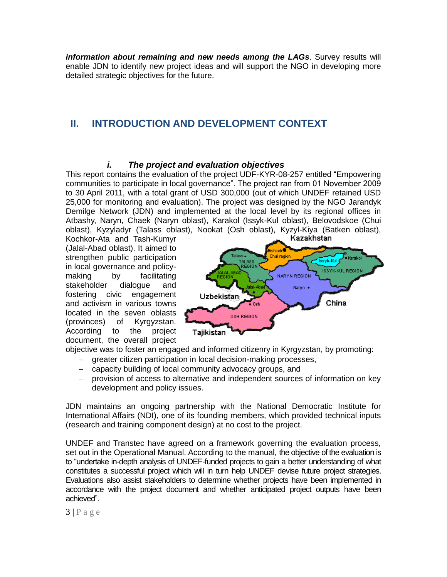*information about remaining and new needs among the LAGs*. Survey results will enable JDN to identify new project ideas and will support the NGO in developing more detailed strategic objectives for the future.

# **II. INTRODUCTION AND DEVELOPMENT CONTEXT**

## *i. The project and evaluation objectives*

This report contains the evaluation of the project UDF-KYR-08-257 entitled "Empowering" communities to participate in local governance". The project ran from 01 November 2009 to 30 April 2011, with a total grant of USD 300,000 (out of which UNDEF retained USD 25,000 for monitoring and evaluation). The project was designed by the NGO Jarandyk Demilge Network (JDN) and implemented at the local level by its regional offices in Atbashy, Naryn, Chaek (Naryn oblast), Karakol (Issyk-Kul oblast), Belovodskoe (Chui oblast), Kyzyladyr (Talass oblast), Nookat (Osh oblast), Kyzyl-Kiya (Batken oblast),

Kochkor-Ata and Tash-Kumyr (Jalal-Abad oblast). It aimed to strengthen public participation in local governance and policymaking by facilitating stakeholder dialogue and fostering civic engagement and activism in various towns located in the seven oblasts (provinces) of Kyrgyzstan. According to the project document, the overall project



objective was to foster an engaged and informed citizenry in Kyrgyzstan, by promoting:

- greater citizen participation in local decision-making processes,
- capacity building of local community advocacy groups, and
- provision of access to alternative and independent sources of information on key development and policy issues.

JDN maintains an ongoing partnership with the National Democratic Institute for International Affairs (NDI), one of its founding members, which provided technical inputs (research and training component design) at no cost to the project.

UNDEF and Transtec have agreed on a framework governing the evaluation process, set out in the Operational Manual. According to the manual, the objective of the evaluation is to "undertake in-depth analysis of UNDEF-funded projects to gain a better understanding of what constitutes a successful project which will in turn help UNDEF devise future project strategies. Evaluations also assist stakeholders to determine whether projects have been implemented in accordance with the project document and whether anticipated project outputs have been achieved".

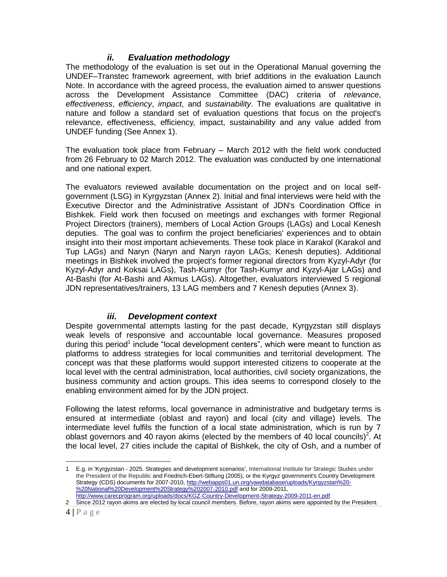# *ii. Evaluation methodology*

The methodology of the evaluation is set out in the Operational Manual governing the UNDEF–Transtec framework agreement, with brief additions in the evaluation Launch Note. In accordance with the agreed process, the evaluation aimed to answer questions across the Development Assistance Committee (DAC) criteria of *relevance*, *effectiveness*, *efficiency*, *impact*, and *sustainability*. The evaluations are qualitative in nature and follow a standard set of evaluation questions that focus on the project's relevance, effectiveness, efficiency, impact, sustainability and any value added from UNDEF funding (See Annex 1).

The evaluation took place from February – March 2012 with the field work conducted from 26 February to 02 March 2012. The evaluation was conducted by one international and one national expert.

The evaluators reviewed available documentation on the project and on local selfgovernment (LSG) in Kyrgyzstan (Annex 2). Initial and final interviews were held with the Executive Director and the Administrative Assistant of JDN's Coordination Office in Bishkek. Field work then focused on meetings and exchanges with former Regional Project Directors (trainers), members of Local Action Groups (LAGs) and Local Kenesh deputies. The goal was to confirm the project beneficiaries' experiences and to obtain insight into their most important achievements. These took place in Karakol (Karakol and Tup LAGs) and Naryn (Naryn and Naryn rayon LAGs; Kenesh deputies). Additional meetings in Bishkek involved the project's former regional directors from Kyzyl-Adyr (for Kyzyl-Adyr and Koksai LAGs), Tash-Kumyr (for Tash-Kumyr and Kyzyl-Ajar LAGs) and At-Bashi (for At-Bashi and Akmus LAGs). Altogether, evaluators interviewed 5 regional JDN representatives/trainers, 13 LAG members and 7 Kenesh deputies (Annex 3).

## *iii. Development context*

Despite governmental attempts lasting for the past decade, Kyrgyzstan still displays weak levels of responsive and accountable local governance. Measures proposed during this period<sup>1</sup> include "local development centers", which were meant to function as platforms to address strategies for local communities and territorial development. The concept was that these platforms would support interested citizens to cooperate at the local level with the central administration, local authorities, civil society organizations, the business community and action groups. This idea seems to correspond closely to the enabling environment aimed for by the JDN project.

Following the latest reforms, local governance in administrative and budgetary terms is ensured at intermediate (oblast and rayon) and local (city and village) levels. The intermediate level fulfils the function of a local state administration, which is run by 7 oblast governors and 40 rayon akims (elected by the members of 40 local councils)<sup>2</sup>. At the local level, 27 cities include the capital of Bishkek, the city of Osh, and a number of

<sup>1</sup> E.g. in 'Kyrgyzstan - 2025. Strategies and development scenarios', International Institute for Strategic Studies under the President of the Republic and Friedrich-Ebert-Stiftung (2005), or the Kyrgyz government's Country Development Strategy (CDS) documents for 2007-2010[, http://webapps01.un.org/vawdatabase/uploads/Kyrgyzstan%20-](http://webapps01.un.org/vawdatabase/uploads/Kyrgyzstan%20-%20National%20Development%20Strategy%202007-2010.pdf) [%20National%20Development%20Strategy%202007-2010.pdf](http://webapps01.un.org/vawdatabase/uploads/Kyrgyzstan%20-%20National%20Development%20Strategy%202007-2010.pdf) and for 2009-2011, [http://www.carecprogram.org/uploads/docs/KGZ-Country-Development-Strategy-2009-2011-en.pdf.](http://www.carecprogram.org/uploads/docs/KGZ-Country-Development-Strategy-2009-2011-en.pdf)

<sup>2</sup> Since 2012 rayon akims are elected by local council members. Before, rayon akims were appointed by the President.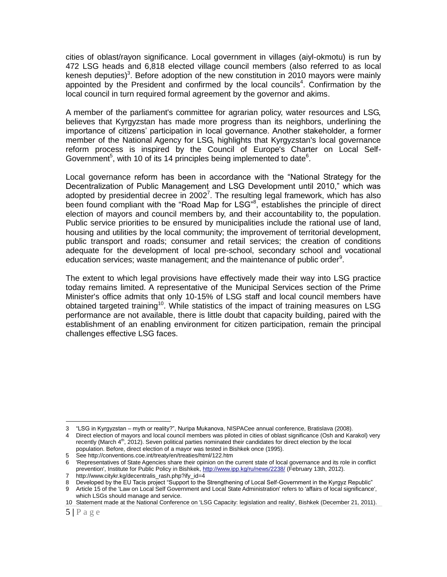cities of oblast/rayon significance. Local government in villages (aiyl-okmotu) is run by 472 LSG heads and 6,818 elected village council members (also referred to as local kenesh deputies)<sup>3</sup>. Before adoption of the new constitution in 2010 mayors were mainly appointed by the President and confirmed by the local councils<sup>4</sup>. Confirmation by the local council in turn required formal agreement by the governor and akims.

A member of the parliament's committee for agrarian policy, water resources and LSG, believes that Kyrgyzstan has made more progress than its neighbors, underlining the importance of citizens' participation in local governance. Another stakeholder, a former member of the National Agency for LSG, highlights that Kyrgyzstan's local governance reform process is inspired by the Council of Europe's Charter on Local Self-Government<sup>5</sup>, with 10 of its 14 principles being implemented to date<sup>6</sup>.

Local governance reform has been in accordance with the "National Strategy for the Decentralization of Public Management and LSG Development until 2010," which was adopted by presidential decree in 2002<sup>7</sup>. The resulting legal framework, which has also been found compliant with the "Road Map for LSG"<sup>8</sup>, establishes the principle of direct election of mayors and council members by, and their accountability to, the population. Public service priorities to be ensured by municipalities include the rational use of land, housing and utilities by the local community; the improvement of territorial development, public transport and roads; consumer and retail services; the creation of conditions adequate for the development of local pre-school, secondary school and vocational education services; waste management; and the maintenance of public order<sup>9</sup>.

The extent to which legal provisions have effectively made their way into LSG practice today remains limited. A representative of the Municipal Services section of the Prime Minister's office admits that only 10-15% of LSG staff and local council members have obtained targeted training<sup>10</sup>. While statistics of the impact of training measures on LSG performance are not available, there is little doubt that capacity building, paired with the establishment of an enabling environment for citizen participation, remain the principal challenges effective LSG faces.

 $\overline{a}$ 3 " SG K z – ?" N NISPACee annual conference, Bratislava (2008).

<sup>4</sup> Direct election of mayors and local council members was piloted in cities of oblast significance (Osh and Karakol) very recently (March  $4<sup>th</sup>$ , 2012). Seven political parties nominated their candidates for direct election by the local population. Before, direct election of a mayor was tested in Bishkek once (1995).

<sup>5</sup> See http://conventions.coe.int/treaty/en/treaties/html/122.htm

<sup>6</sup> 'Representatives of State Agencies share their opinion on the current state of local governance and its role in conflict prevention', Institute for Public Policy in Bishkek,<http://www.ipp.kg/ru/news/2238/> (February 13th, 2012).

<sup>7</sup> http://www.citykr.kg/decentralis\_rash.php?ify\_id=4

<sup>8</sup> Developed by the EU Tacis project "Support to the Strengthening of Local Self-Government in the Kyrgyz Republic"

<sup>9</sup> Article 15 of the 'Law on Local Self Government and Local State Administration' refers to 'affairs of local significance', which LSGs should manage and service.

<sup>10</sup> Statement made at the National Conference on 'LSG Capacity: legislation and reality', Bishkek (December 21, 2011).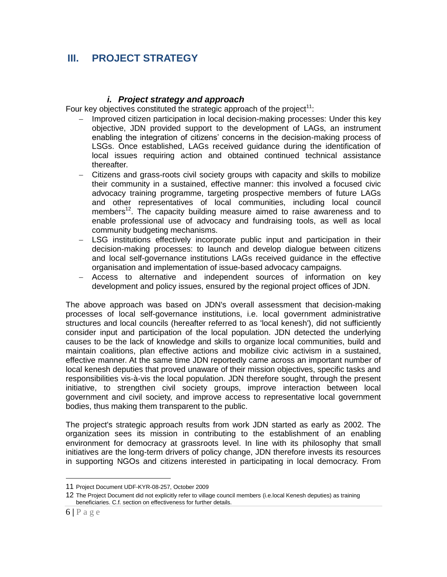# **III. PROJECT STRATEGY**

### *i. Project strategy and approach*

Four key objectives constituted the strategic approach of the project<sup>11</sup>:

- Improved citizen participation in local decision-making processes: Under this key objective, JDN provided support to the development of LAGs, an instrument enabling the integration of citizens' concerns in the decision-making process of LSGs. Once established, LAGs received guidance during the identification of local issues requiring action and obtained continued technical assistance thereafter.
- Citizens and grass-roots civil society groups with capacity and skills to mobilize their community in a sustained, effective manner: this involved a focused civic advocacy training programme, targeting prospective members of future LAGs and other representatives of local communities, including local council members<sup>12</sup>. The capacity building measure aimed to raise awareness and to enable professional use of advocacy and fundraising tools, as well as local community budgeting mechanisms.
- LSG institutions effectively incorporate public input and participation in their decision-making processes: to launch and develop dialogue between citizens and local self-governance institutions LAGs received guidance in the effective organisation and implementation of issue-based advocacy campaigns.
- Access to alternative and independent sources of information on key development and policy issues, ensured by the regional project offices of JDN.

The above approach was based on JDN's overall assessment that decision-making processes of local self-governance institutions, i.e. local government administrative structures and local councils (hereafter referred to as 'local kenesh'), did not sufficiently consider input and participation of the local population. JDN detected the underlying causes to be the lack of knowledge and skills to organize local communities, build and maintain coalitions, plan effective actions and mobilize civic activism in a sustained, effective manner. At the same time JDN reportedly came across an important number of local kenesh deputies that proved unaware of their mission objectives, specific tasks and responsibilities vis-à-vis the local population. JDN therefore sought, through the present initiative, to strengthen civil society groups, improve interaction between local government and civil society, and improve access to representative local government bodies, thus making them transparent to the public.

The project's strategic approach results from work JDN started as early as 2002. The organization sees its mission in contributing to the establishment of an enabling environment for democracy at grassroots level. In line with its philosophy that small initiatives are the long-term drivers of policy change, JDN therefore invests its resources in supporting NGOs and citizens interested in participating in local democracy. From

<sup>11</sup> Project Document UDF-KYR-08-257, October 2009

<sup>12</sup> The Project Document did not explicitly refer to village council members (i.e.local Kenesh deputies) as training beneficiaries. C.f. section on effectiveness for further details.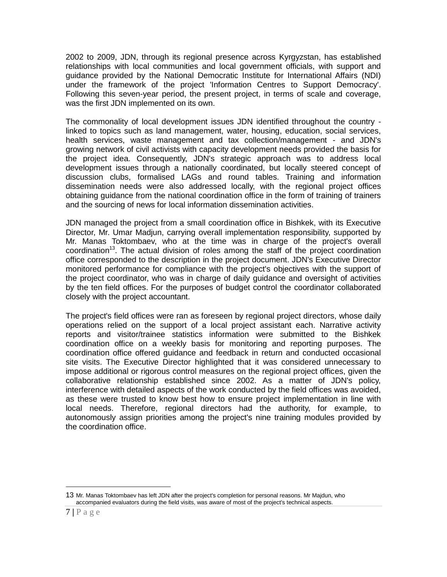2002 to 2009, JDN, through its regional presence across Kyrgyzstan, has established relationships with local communities and local government officials, with support and guidance provided by the National Democratic Institute for International Affairs (NDI) under the framework of the project 'Information Centres to Support Democracy'. Following this seven-year period, the present project, in terms of scale and coverage, was the first JDN implemented on its own.

The commonality of local development issues JDN identified throughout the country linked to topics such as land management, water, housing, education, social services, health services, waste management and tax collection/management - and JDN's growing network of civil activists with capacity development needs provided the basis for the project idea. Consequently, JDN's strategic approach was to address local development issues through a nationally coordinated, but locally steered concept of discussion clubs, formalised LAGs and round tables. Training and information dissemination needs were also addressed locally, with the regional project offices obtaining guidance from the national coordination office in the form of training of trainers and the sourcing of news for local information dissemination activities.

JDN managed the project from a small coordination office in Bishkek, with its Executive Director, Mr. Umar Madjun, carrying overall implementation responsibility, supported by Mr. Manas Toktombaev, who at the time was in charge of the project's overall  $coordination<sup>13</sup>$ . The actual division of roles among the staff of the project coordination office corresponded to the description in the project document. JDN's Executive Director monitored performance for compliance with the project's objectives with the support of the project coordinator, who was in charge of daily guidance and oversight of activities by the ten field offices. For the purposes of budget control the coordinator collaborated closely with the project accountant.

The project's field offices were ran as foreseen by regional project directors, whose daily operations relied on the support of a local project assistant each. Narrative activity reports and visitor/trainee statistics information were submitted to the Bishkek coordination office on a weekly basis for monitoring and reporting purposes. The coordination office offered guidance and feedback in return and conducted occasional site visits. The Executive Director highlighted that it was considered unnecessary to impose additional or rigorous control measures on the regional project offices, given the collaborative relationship established since 2002. As a matter of JDN's policy, interference with detailed aspects of the work conducted by the field offices was avoided, as these were trusted to know best how to ensure project implementation in line with local needs. Therefore, regional directors had the authority, for example, to autonomously assign priorities among the project's nine training modules provided by the coordination office.

<sup>13</sup> Mr. Manas Toktombaev has left JDN after the project's completion for personal reasons. Mr Majdun, who accompanied evaluators during the field visits, was aware of most of the project's technical aspects.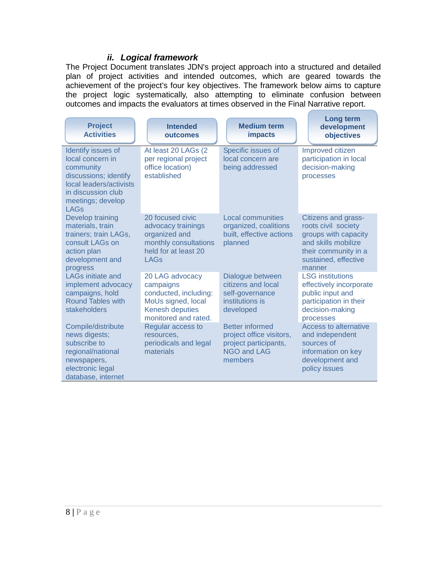# *ii. Logical framework*

The Project Document translates JDN's project approach into a structured and detailed plan of project activities and intended outcomes, which are geared towards the achievement of the project's four key objectives. The framework below aims to capture the project logic systematically, also attempting to eliminate confusion between outcomes and impacts the evaluators at times observed in the Final Narrative report.

| <b>Project</b><br><b>Activities</b>                                                                                                                               | <b>Intended</b><br>outcomes                                                                                                   | <b>Medium term</b><br><b>impacts</b>                                                                         | <b>Long term</b><br>development<br>objectives                                                                                                       |
|-------------------------------------------------------------------------------------------------------------------------------------------------------------------|-------------------------------------------------------------------------------------------------------------------------------|--------------------------------------------------------------------------------------------------------------|-----------------------------------------------------------------------------------------------------------------------------------------------------|
| Identify issues of<br>local concern in<br>community<br>discussions; identify<br>local leaders/activists<br>in discussion club<br>meetings; develop<br><b>LAGs</b> | At least 20 LAGs (2<br>per regional project<br>office location)<br>established                                                | Specific issues of<br>local concern are<br>being addressed                                                   | Improved citizen<br>participation in local<br>decision-making<br>processes                                                                          |
| Develop training<br>materials, train<br>trainers; train LAGs,<br>consult LAGs on<br>action plan<br>development and<br>progress                                    | 20 focused civic<br>advocacy trainings<br>organized and<br>monthly consultations<br>held for at least 20<br><b>LAGs</b>       | <b>Local communities</b><br>organized, coalitions<br>built, effective actions<br>planned                     | Citizens and grass-<br>roots civil society<br>groups with capacity<br>and skills mobilize<br>their community in a<br>sustained, effective<br>manner |
| <b>LAGs initiate and</b><br>implement advocacy<br>campaigns, hold<br><b>Round Tables with</b><br>stakeholders                                                     | 20 LAG advocacy<br>campaigns<br>conducted, including:<br>MoUs signed, local<br><b>Kenesh deputies</b><br>monitored and rated. | Dialogue between<br>citizens and local<br>self-governance<br>institutions is<br>developed                    | <b>LSG</b> institutions<br>effectively incorporate<br>public input and<br>participation in their<br>decision-making<br>processes                    |
| Compile/distribute<br>news digests;<br>subscribe to<br>regional/national<br>newspapers,<br>electronic legal<br>database, internet                                 | Regular access to<br>resources,<br>periodicals and legal<br>materials                                                         | <b>Better informed</b><br>project office visitors,<br>project participants,<br><b>NGO and LAG</b><br>members | Access to alternative<br>and independent<br>sources of<br>information on key<br>development and<br>policy issues                                    |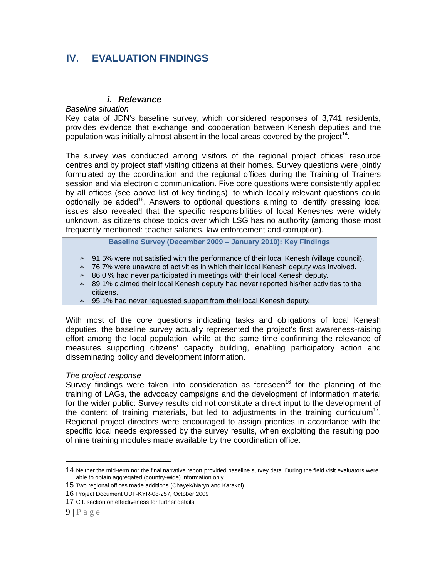# **IV. EVALUATION FINDINGS**

### *i. Relevance*

#### *Baseline situation*

Key data of JDN's baseline survey, which considered responses of 3,741 residents, provides evidence that exchange and cooperation between Kenesh deputies and the population was initially almost absent in the local areas covered by the project<sup>14</sup>.

The survey was conducted among visitors of the regional project offices' resource centres and by project staff visiting citizens at their homes. Survey questions were jointly formulated by the coordination and the regional offices during the Training of Trainers session and via electronic communication. Five core questions were consistently applied by all offices (see above list of key findings), to which locally relevant questions could optionally be added<sup>15</sup>. Answers to optional questions aiming to identify pressing local issues also revealed that the specific responsibilities of local Keneshes were widely unknown, as citizens chose topics over which LSG has no authority (among those most frequently mentioned: teacher salaries, law enforcement and corruption).

**Baseline Survey (December 2009 – January 2010): Key Findings** 

- $\sim$  91.5% were not satisfied with the performance of their local Kenesh (village council).
- $\triangle$  76.7% were unaware of activities in which their local Kenesh deputy was involved.
- $\sim$  86.0 % had never participated in meetings with their local Kenesh deputy.
- 4 89.1% claimed their local Kenesh deputy had never reported his/her activities to the citizens.
- 4 95.1% had never requested support from their local Kenesh deputy.

With most of the core questions indicating tasks and obligations of local Kenesh deputies, the baseline survey actually represented the project's first awareness-raising effort among the local population, while at the same time confirming the relevance of measures supporting citizens' capacity building, enabling participatory action and disseminating policy and development information.

#### *The project response*

Survey findings were taken into consideration as foreseen<sup>16</sup> for the planning of the training of LAGs, the advocacy campaigns and the development of information material for the wider public: Survey results did not constitute a direct input to the development of the content of training materials, but led to adjustments in the training curriculum<sup>17</sup>. Regional project directors were encouraged to assign priorities in accordance with the specific local needs expressed by the survey results, when exploiting the resulting pool of nine training modules made available by the coordination office.

<sup>14</sup> Neither the mid-term nor the final narrative report provided baseline survey data. During the field visit evaluators were able to obtain aggregated (country-wide) information only.

<sup>15</sup> Two regional offices made additions (Chayek/Naryn and Karakol).

<sup>16</sup> Project Document UDF-KYR-08-257, October 2009

<sup>17</sup> C.f. section on effectiveness for further details.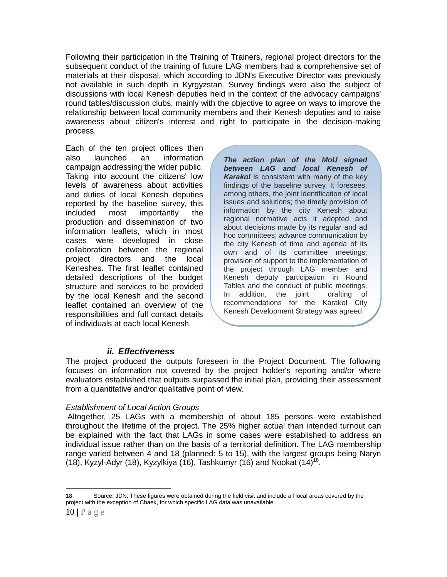Following their participation in the Training of Trainers, regional project directors for the subsequent conduct of the training of future LAG members had a comprehensive set of materials at their disposal, which according to JDN's Executive Director was previously not available in such depth in Kyrgyzstan. Survey findings were also the subject of discussions with local Kenesh deputies held in the context of the advocacy campaigns' round tables/discussion clubs, mainly with the objective to agree on ways to improve the relationship between local community members and their Kenesh deputies and to raise awareness about citizen's interest and right to participate in the decision-making process.

Each of the ten project offices then also launched an information campaign addressing the wider public. Taking into account the citizens' low levels of awareness about activities and duties of local Kenesh deputies reported by the baseline survey, this included most importantly the production and dissemination of two information leaflets, which in most cases were developed in close collaboration between the regional project directors and the local Keneshes. The first leaflet contained detailed descriptions of the budget structure and services to be provided by the local Kenesh and the second leaflet contained an overview of the responsibilities and full contact details of individuals at each local Kenesh.

*The action plan of the MoU signed between LAG and local Kenesh of Karakol* is consistent with many of the key findings of the baseline survey. It foresees, among others, the joint identification of local issues and solutions; the timely provision of information by the city Kenesh about regional normative acts it adopted and about decisions made by its regular and ad hoc committees; advance communication by the city Kenesh of time and agenda of its own and of its committee meetings; provision of support to the implementation of the project through LAG member and Kenesh deputy participation in Round Tables and the conduct of public meetings. In addition, the joint drafting of recommendations for the Karakol City Kenesh Development Strategy was agreed.

## *ii. Effectiveness*

The project produced the outputs foreseen in the Project Document. The following focuses on information not covered by the project holder's reporting and/or where evaluators established that outputs surpassed the initial plan, providing their assessment from a quantitative and/or qualitative point of view.

#### *Establishment of Local Action Groups*

Altogether, 25 LAGs with a membership of about 185 persons were established throughout the lifetime of the project. The 25% higher actual than intended turnout can be explained with the fact that LAGs in some cases were established to address an individual issue rather than on the basis of a territorial definition. The LAG membership range varied between 4 and 18 (planned: 5 to 15), with the largest groups being Naryn (18), Kyzyl-Adyr (18), Kyzylkiya (16), Tashkumyr (16) and Nookat (14)<sup>18</sup>.

<sup>18</sup> Source: JDN. These figures were obtained during the field visit and include all local areas covered by the project with the exception of Chaek, for which specific LAG data was unavailable.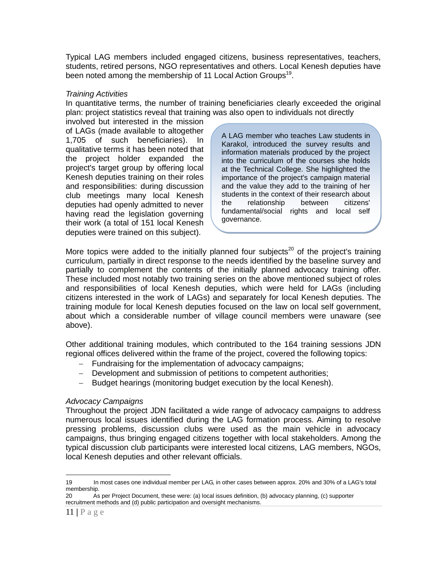Typical LAG members included engaged citizens, business representatives, teachers, students, retired persons, NGO representatives and others. Local Kenesh deputies have been noted among the membership of 11 Local Action Groups<sup>19</sup>.

#### *Training Activities*

In quantitative terms, the number of training beneficiaries clearly exceeded the original plan: project statistics reveal that training was also open to individuals not directly

involved but interested in the mission of LAGs (made available to altogether 1,705 of such beneficiaries). In qualitative terms it has been noted that the project holder expanded the project's target group by offering local Kenesh deputies training on their roles and responsibilities: during discussion club meetings many local Kenesh deputies had openly admitted to never having read the legislation governing their work (a total of 151 local Kenesh deputies were trained on this subject).

A LAG member who teaches Law students in Karakol, introduced the survey results and information materials produced by the project into the curriculum of the courses she holds at the Technical College. She highlighted the importance of the project's campaign material and the value they add to the training of her students in the context of their research about the relationship between citizens' fundamental/social rights and local self governance.

More topics were added to the initially planned four subjects<sup>20</sup> of the project's training curriculum, partially in direct response to the needs identified by the baseline survey and partially to complement the contents of the initially planned advocacy training offer. These included most notably two training series on the above mentioned subject of roles and responsibilities of local Kenesh deputies, which were held for LAGs (including citizens interested in the work of LAGs) and separately for local Kenesh deputies. The training module for local Kenesh deputies focused on the law on local self government, about which a considerable number of village council members were unaware (see above).

Other additional training modules, which contributed to the 164 training sessions JDN regional offices delivered within the frame of the project, covered the following topics:

- Fundraising for the implementation of advocacy campaigns;
- Development and submission of petitions to competent authorities;
- Budget hearings (monitoring budget execution by the local Kenesh).

### *Advocacy Campaigns*

Throughout the project JDN facilitated a wide range of advocacy campaigns to address numerous local issues identified during the LAG formation process. Aiming to resolve pressing problems, discussion clubs were used as the main vehicle in advocacy campaigns, thus bringing engaged citizens together with local stakeholders. Among the typical discussion club participants were interested local citizens, LAG members, NGOs, local Kenesh deputies and other relevant officials.

<sup>19</sup> In most cases one individual member per LAG, in other cases between approx. 20% and 30% of a LAG's total membership.

<sup>20</sup> As per Project Document, these were: (a) local issues definition, (b) advocacy planning, (c) supporter recruitment methods and (d) public participation and oversight mechanisms.

<sup>11</sup> **|** P a g e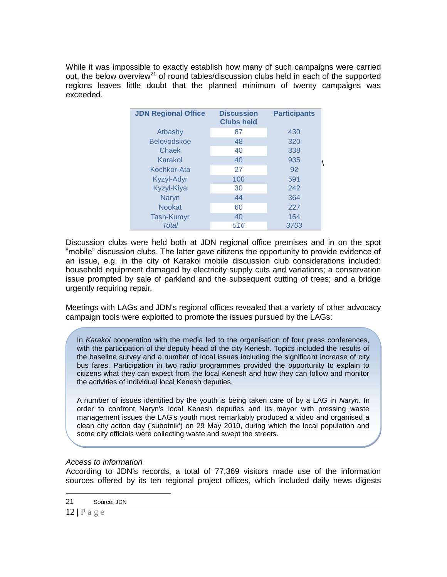While it was impossible to exactly establish how many of such campaigns were carried out, the below overview<sup>21</sup> of round tables/discussion clubs held in each of the supported regions leaves little doubt that the planned minimum of twenty campaigns was exceeded.

| <b>JDN Regional Office</b> | <b>Discussion</b><br><b>Clubs held</b> | <b>Participants</b> |
|----------------------------|----------------------------------------|---------------------|
| Atbashy                    | 87                                     | 430                 |
| <b>Belovodskoe</b>         | 48                                     | 320                 |
| Chaek                      | 40                                     | 338                 |
| Karakol                    | 40                                     | 935                 |
| Kochkor-Ata                | 27                                     | 92                  |
| <b>Kyzyl-Adyr</b>          | 100                                    | 591                 |
| Kyzyl-Kiya                 | 30                                     | 242                 |
| Naryn                      | 44                                     | 364                 |
| <b>Nookat</b>              | 60                                     | 227                 |
| <b>Tash-Kumyr</b>          | 40                                     | 164                 |
| Total                      | 516                                    | 3703                |

Discussion clubs were held both at JDN regional office premises and in on the spot "mobile" discussion clubs. The latter gave citizens the opportunity to provide evidence of an issue, e.g. in the city of Karakol mobile discussion club considerations included: household equipment damaged by electricity supply cuts and variations; a conservation issue prompted by sale of parkland and the subsequent cutting of trees; and a bridge urgently requiring repair.

Meetings with LAGs and JDN's regional offices revealed that a variety of other advocacy campaign tools were exploited to promote the issues pursued by the LAGs:

In *Karakol* cooperation with the media led to the organisation of four press conferences, with the participation of the deputy head of the city Kenesh. Topics included the results of the baseline survey and a number of local issues including the significant increase of city bus fares. Participation in two radio programmes provided the opportunity to explain to citizens what they can expect from the local Kenesh and how they can follow and monitor the activities of individual local Kenesh deputies.

A number of issues identified by the youth is being taken care of by a LAG in *Naryn*. In order to confront Naryn's local Kenesh deputies and its mayor with pressing waste management issues the LAG's youth most remarkably produced a video and organised a clean city action day ('subotnik') on 29 May 2010, during which the local population and some city officials were collecting waste and swept the streets.

### *Access to information*

According to JDN's records, a total of 77,369 visitors made use of the information sources offered by its ten regional project offices, which included daily news digests

<sup>21</sup> Source: JDN

<sup>12</sup> **|** P a g e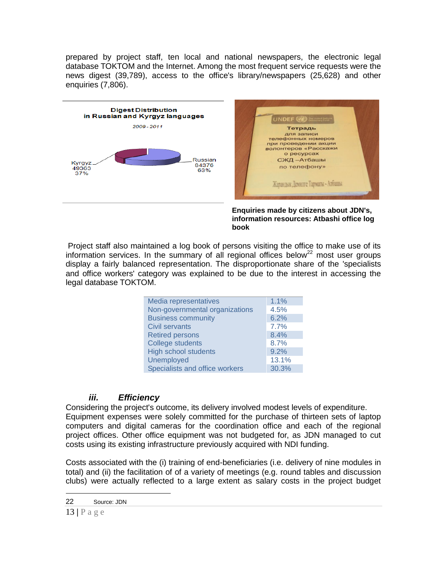prepared by project staff, ten local and national newspapers, the electronic legal database TOKTOM and the Internet. Among the most frequent service requests were the news digest (39,789), access to the office's library/newspapers (25,628) and other enquiries (7,806).



**Enquiries made by citizens about JDN's, information resources: Atbashi office log book**

Project staff also maintained a log book of persons visiting the office to make use of its information services. In the summary of all regional offices below<sup>22</sup> most user groups display a fairly balanced representation. The disproportionate share of the 'specialists and office workers' category was explained to be due to the interest in accessing the legal database TOKTOM.

| 1.1%  |
|-------|
| 4.5%  |
| 6.2%  |
| 7.7%  |
| 8.4%  |
| 8.7%  |
| 9.2%  |
| 13.1% |
| 30.3% |
|       |

# *iii. Efficiency*

Considering the project's outcome, its delivery involved modest levels of expenditure. Equipment expenses were solely committed for the purchase of thirteen sets of laptop computers and digital cameras for the coordination office and each of the regional project offices. Other office equipment was not budgeted for, as JDN managed to cut costs using its existing infrastructure previously acquired with NDI funding.

Costs associated with the (i) training of end-beneficiaries (i.e. delivery of nine modules in total) and (ii) the facilitation of of a variety of meetings (e.g. round tables and discussion clubs) were actually reflected to a large extent as salary costs in the project budget

<sup>22</sup> Source: JDN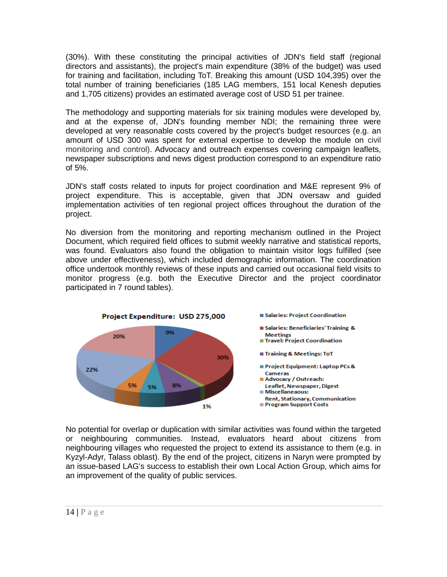(30%). With these constituting the principal activities of JDN's field staff (regional directors and assistants), the project's main expenditure (38% of the budget) was used for training and facilitation, including ToT. Breaking this amount (USD 104,395) over the total number of training beneficiaries (185 LAG members, 151 local Kenesh deputies and 1,705 citizens) provides an estimated average cost of USD 51 per trainee.

The methodology and supporting materials for six training modules were developed by, and at the expense of, JDN's founding member NDI; the remaining three were developed at very reasonable costs covered by the project's budget resources (e.g. an amount of USD 300 was spent for external expertise to develop the module on civil monitoring and control). Advocacy and outreach expenses covering campaign leaflets, newspaper subscriptions and news digest production correspond to an expenditure ratio of 5%.

JDN's staff costs related to inputs for project coordination and M&E represent 9% of project expenditure. This is acceptable, given that JDN oversaw and guided implementation activities of ten regional project offices throughout the duration of the project.

No diversion from the monitoring and reporting mechanism outlined in the Project Document, which required field offices to submit weekly narrative and statistical reports, was found. Evaluators also found the obligation to maintain visitor logs fulfilled (see above under effectiveness), which included demographic information. The coordination office undertook monthly reviews of these inputs and carried out occasional field visits to monitor progress (e.g. both the Executive Director and the project coordinator participated in 7 round tables).



No potential for overlap or duplication with similar activities was found within the targeted or neighbouring communities. Instead, evaluators heard about citizens from neighbouring villages who requested the project to extend its assistance to them (e.g. in Kyzyl-Adyr, Talass oblast). By the end of the project, citizens in Naryn were prompted by an issue-based LAG's success to establish their own Local Action Group, which aims for an improvement of the quality of public services.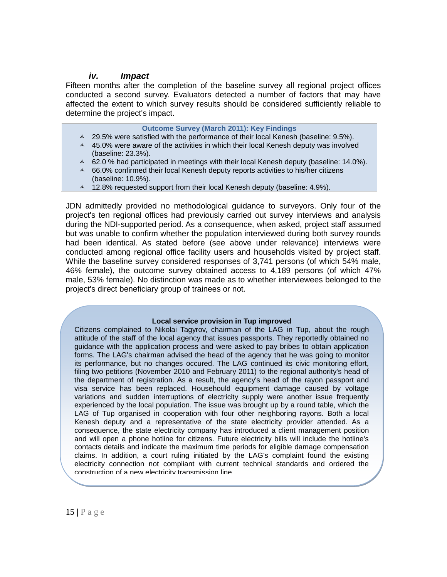### *iv. Impact*

Fifteen months after the completion of the baseline survey all regional project offices conducted a second survey. Evaluators detected a number of factors that may have affected the extent to which survey results should be considered sufficiently reliable to determine the project's impact.

|                  | <b>Outcome Survey (March 2011): Key Findings</b>                                                         |
|------------------|----------------------------------------------------------------------------------------------------------|
|                  | 4 29.5% were satisfied with the performance of their local Kenesh (baseline: 9.5%).                      |
| $\blacktriangle$ | 45.0% were aware of the activities in which their local Kenesh deputy was involved<br>(baseline: 23.3%). |
| $\blacktriangle$ | 62.0 % had participated in meetings with their local Kenesh deputy (baseline: 14.0%).                    |
| $\blacktriangle$ | 66.0% confirmed their local Kenesh deputy reports activities to his/her citizens<br>(baseline: 10.9%).   |
|                  | $\sim$ 12.8% requested support from their local Kenesh deputy (baseline: 4.9%).                          |
|                  |                                                                                                          |

JDN admittedly provided no methodological guidance to surveyors. Only four of the project's ten regional offices had previously carried out survey interviews and analysis during the NDI-supported period. As a consequence, when asked, project staff assumed but was unable to confirm whether the population interviewed during both survey rounds had been identical. As stated before (see above under relevance) interviews were conducted among regional office facility users and households visited by project staff. While the baseline survey considered responses of 3,741 persons (of which 54% male, 46% female), the outcome survey obtained access to 4,189 persons (of which 47% male, 53% female). No distinction was made as to whether interviewees belonged to the project's direct beneficiary group of trainees or not.

#### **Local service provision in Tup improved**

Citizens complained to Nikolai Tagyrov, chairman of the LAG in Tup, about the rough attitude of the staff of the local agency that issues passports. They reportedly obtained no guidance with the application process and were asked to pay bribes to obtain application forms. The LAG's chairman advised the head of the agency that he was going to monitor its performance, but no changes occured. The LAG continued its civic monitoring effort, filing two petitions (November 2010 and February 2011) to the regional authority's head of the department of registration. As a result, the agency's head of the rayon passport and visa service has been replaced. Househould equipment damage caused by voltage variations and sudden interruptions of electricity supply were another issue frequently experienced by the local population. The issue was brought up by a round table, which the LAG of Tup organised in cooperation with four other neighboring rayons. Both a local Kenesh deputy and a representative of the state electricity provider attended. As a consequence, the state electricity company has introduced a client management position and will open a phone hotline for citizens. Future electricity bills will include the hotline's contacts details and indicate the maximum time periods for eligible damage compensation claims. In addition, a court ruling initiated by the LAG's complaint found the existing electricity connection not compliant with current technical standards and ordered the construction of a new electricity transmission line.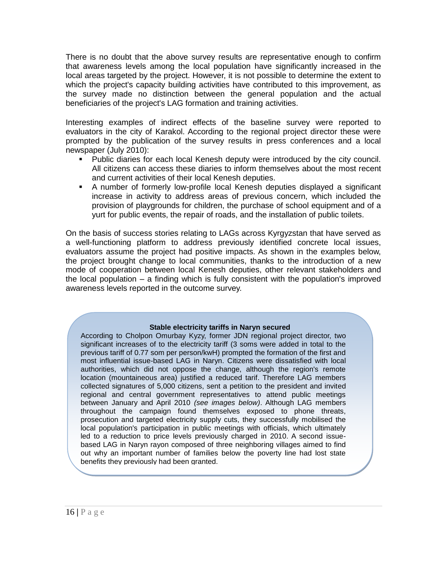There is no doubt that the above survey results are representative enough to confirm that awareness levels among the local population have significantly increased in the local areas targeted by the project. However, it is not possible to determine the extent to which the project's capacity building activities have contributed to this improvement, as the survey made no distinction between the general population and the actual beneficiaries of the project's LAG formation and training activities.

Interesting examples of indirect effects of the baseline survey were reported to evaluators in the city of Karakol. According to the regional project director these were prompted by the publication of the survey results in press conferences and a local newspaper (July 2010):

- Public diaries for each local Kenesh deputy were introduced by the city council. All citizens can access these diaries to inform themselves about the most recent and current activities of their local Kenesh deputies.
- A number of formerly low-profile local Kenesh deputies displayed a significant increase in activity to address areas of previous concern, which included the provision of playgrounds for children, the purchase of school equipment and of a yurt for public events, the repair of roads, and the installation of public toilets.

On the basis of success stories relating to LAGs across Kyrgyzstan that have served as a well-functioning platform to address previously identified concrete local issues, evaluators assume the project had positive impacts. As shown in the examples below, the project brought change to local communities, thanks to the introduction of a new mode of cooperation between local Kenesh deputies, other relevant stakeholders and the local population – a finding which is fully consistent with the population's improved awareness levels reported in the outcome survey.

#### **Stable electricity tariffs in Naryn secured**

According to Cholpon Omurbay Kyzy, former JDN regional project director, two significant increases of to the electricity tariff (3 soms were added in total to the previous tariff of 0.77 som per person/kwH) prompted the formation of the first and most influential issue-based LAG in Naryn. Citizens were dissatisfied with local authorities, which did not oppose the change, although the region's remote location (mountaineous area) justified a reduced tarif. Therefore LAG members collected signatures of 5,000 citizens, sent a petition to the president and invited regional and central government representatives to attend public meetings between January and April 2010 *(see images below)*. Although LAG members throughout the campaign found themselves exposed to phone threats, prosecution and targeted electricity supply cuts, they successfully mobilised the local population's participation in public meetings with officials, which ultimately led to a reduction to price levels previously charged in 2010. A second issuebased LAG in Naryn rayon composed of three neighboring villages aimed to find out why an important number of families below the poverty line had lost state benefits they previously had been granted.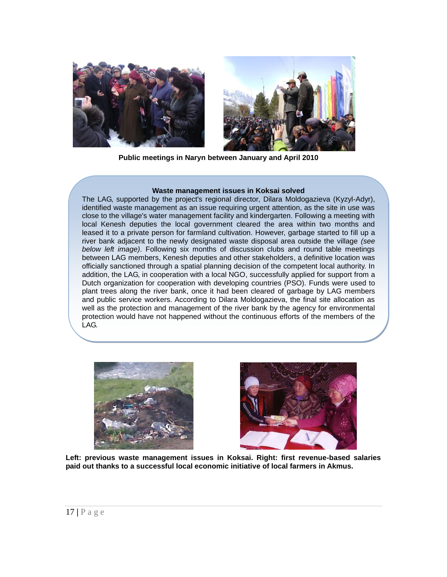

**Public meetings in Naryn between January and April 2010**

#### **Waste management issues in Koksai solved**

The LAG, supported by the project's regional director, Dilara Moldogazieva (Kyzyl-Adyr), identified waste management as an issue requiring urgent attention, as the site in use was close to the village's water management facility and kindergarten. Following a meeting with local Kenesh deputies the local government cleared the area within two months and leased it to a private person for farmland cultivation. However, garbage started to fill up a river bank adjacent to the newly designated waste disposal area outside the village *(see below left image)*. Following six months of discussion clubs and round table meetings between LAG members, Kenesh deputies and other stakeholders, a definitive location was officially sanctioned through a spatial planning decision of the competent local authority. In addition, the LAG, in cooperation with a local NGO, successfully applied for support from a Dutch organization for cooperation with developing countries (PSO). Funds were used to plant trees along the river bank, once it had been cleared of garbage by LAG members and public service workers. According to Dilara Moldogazieva, the final site allocation as well as the protection and management of the river bank by the agency for environmental protection would have not happened without the continuous efforts of the members of the LAG.





**Left: previous waste management issues in Koksai. Right: first revenue-based salaries paid out thanks to a successful local economic initiative of local farmers in Akmus.**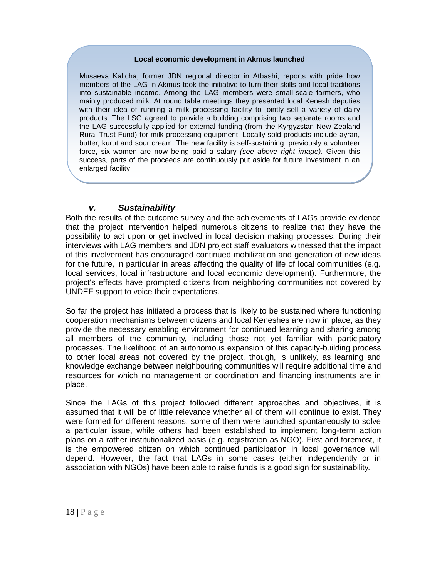#### **Local economic development in Akmus launched**

Musaeva Kalicha, former JDN regional director in Atbashi, reports with pride how members of the LAG in Akmus took the initiative to turn their skills and local traditions into sustainable income. Among the LAG members were small-scale farmers, who mainly produced milk. At round table meetings they presented local Kenesh deputies with their idea of running a milk processing facility to jointly sell a variety of dairy products. The LSG agreed to provide a building comprising two separate rooms and the LAG successfully applied for external funding (from the Kyrgyzstan-New Zealand Rural Trust Fund) for milk processing equipment. Locally sold products include ayran, butter, kurut and sour cream. The new facility is self-sustaining: previously a volunteer force, six women are now being paid a salary *(see above right image)*. Given this success, parts of the proceeds are continuously put aside for future investment in an enlarged facility

## *v. Sustainability*

Both the results of the outcome survey and the achievements of LAGs provide evidence that the project intervention helped numerous citizens to realize that they have the possibility to act upon or get involved in local decision making processes. During their interviews with LAG members and JDN project staff evaluators witnessed that the impact of this involvement has encouraged continued mobilization and generation of new ideas for the future, in particular in areas affecting the quality of life of local communities (e.g. local services, local infrastructure and local economic development). Furthermore, the project's effects have prompted citizens from neighboring communities not covered by UNDEF support to voice their expectations.

So far the project has initiated a process that is likely to be sustained where functioning cooperation mechanisms between citizens and local Keneshes are now in place, as they provide the necessary enabling environment for continued learning and sharing among all members of the community, including those not yet familiar with participatory processes. The likelihood of an autonomous expansion of this capacity-building process to other local areas not covered by the project, though, is unlikely, as learning and knowledge exchange between neighbouring communities will require additional time and resources for which no management or coordination and financing instruments are in place.

Since the LAGs of this project followed different approaches and objectives, it is assumed that it will be of little relevance whether all of them will continue to exist. They were formed for different reasons: some of them were launched spontaneously to solve a particular issue, while others had been established to implement long-term action plans on a rather institutionalized basis (e.g. registration as NGO). First and foremost, it is the empowered citizen on which continued participation in local governance will depend. However, the fact that LAGs in some cases (either independently or in association with NGOs) have been able to raise funds is a good sign for sustainability.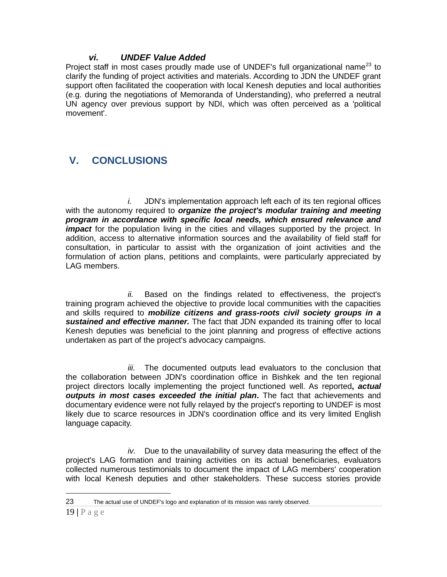### *vi. UNDEF Value Added*

Project staff in most cases proudly made use of UNDEF's full organizational name<sup>23</sup> to clarify the funding of project activities and materials. According to JDN the UNDEF grant support often facilitated the cooperation with local Kenesh deputies and local authorities (e.g. during the negotiations of Memoranda of Understanding), who preferred a neutral UN agency over previous support by NDI, which was often perceived as a 'political movement'.

# **V. CONCLUSIONS**

*i.* JDN's implementation approach left each of its ten regional offices with the autonomy required to *organize the project's modular training and meeting program in accordance with specific local needs, which ensured relevance and impact* for the population living in the cities and villages supported by the project. In addition, access to alternative information sources and the availability of field staff for consultation, in particular to assist with the organization of joint activities and the formulation of action plans, petitions and complaints, were particularly appreciated by LAG members.

*ii.* Based on the findings related to effectiveness, the project's training program achieved the objective to provide local communities with the capacities and skills required to *mobilize citizens and grass-roots civil society groups in a sustained and effective manner.* The fact that JDN expanded its training offer to local Kenesh deputies was beneficial to the joint planning and progress of effective actions undertaken as part of the project's advocacy campaigns.

*iii.* The documented outputs lead evaluators to the conclusion that the collaboration between JDN's coordination office in Bishkek and the ten regional project directors locally implementing the project functioned well. As reported**,** *actual outputs in most cases exceeded the initial plan***.** The fact that achievements and documentary evidence were not fully relayed by the project's reporting to UNDEF is most likely due to scarce resources in JDN's coordination office and its very limited English language capacity.

*iv.* Due to the unavailability of survey data measuring the effect of the project's LAG formation and training activities on its actual beneficiaries, evaluators collected numerous testimonials to document the impact of LAG members' cooperation with local Kenesh deputies and other stakeholders. These success stories provide

<sup>23</sup> The actual use of UNDEF's logo and explanation of its mission was rarely observed.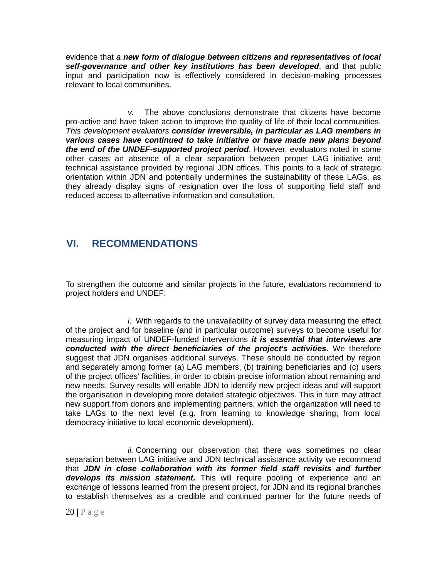evidence that *a new form of dialogue between citizens and representatives of local self-governance and other key institutions has been developed*, and that public input and participation now is effectively considered in decision-making processes relevant to local communities.

*v.* The above conclusions demonstrate that citizens have become pro-active and have taken action to improve the quality of life of their local communities. *This development evaluators consider irreversible, in particular as LAG members in various cases have continued to take initiative or have made new plans beyond the end of the UNDEF-supported project period*. However, evaluators noted in some other cases an absence of a clear separation between proper LAG initiative and technical assistance provided by regional JDN offices. This points to a lack of strategic orientation within JDN and potentially undermines the sustainability of these LAGs, as they already display signs of resignation over the loss of supporting field staff and reduced access to alternative information and consultation.

# **VI. RECOMMENDATIONS**

To strengthen the outcome and similar projects in the future, evaluators recommend to project holders and UNDEF:

*i.* With regards to the unavailability of survey data measuring the effect of the project and for baseline (and in particular outcome) surveys to become useful for measuring impact of UNDEF-funded interventions *it is essential that interviews are conducted with the direct beneficiaries of the project's activities*. We therefore suggest that JDN organises additional surveys. These should be conducted by region and separately among former (a) LAG members, (b) training beneficiaries and (c) users of the project offices' facilities, in order to obtain precise information about remaining and new needs. Survey results will enable JDN to identify new project ideas and will support the organisation in developing more detailed strategic objectives. This in turn may attract new support from donors and implementing partners, which the organization will need to take LAGs to the next level (e.g. from learning to knowledge sharing; from local democracy initiative to local economic development).

*ii.* Concerning our observation that there was sometimes no clear separation between LAG initiative and JDN technical assistance activity we recommend that *JDN in close collaboration with its former field staff revisits and further develops its mission statement.* This will require pooling of experience and an exchange of lessons learned from the present project, for JDN and its regional branches to establish themselves as a credible and continued partner for the future needs of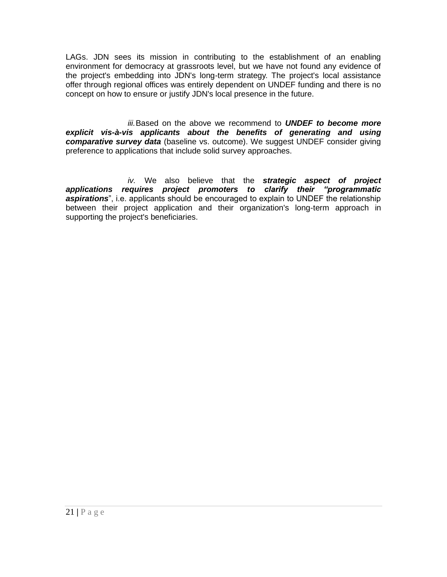LAGs. JDN sees its mission in contributing to the establishment of an enabling environment for democracy at grassroots level, but we have not found any evidence of the project's embedding into JDN's long-term strategy. The project's local assistance offer through regional offices was entirely dependent on UNDEF funding and there is no concept on how to ensure or justify JDN's local presence in the future.

*iii.*Based on the above we recommend to *UNDEF to become more explicit vis-à-vis applicants about the benefits of generating and using comparative survey data* (baseline vs. outcome). We suggest UNDEF consider giving preference to applications that include solid survey approaches.

*iv.* We also believe that the *strategic aspect of project applications requires project promoters to clarify their "programmatic aspirations*", i.e. applicants should be encouraged to explain to UNDEF the relationship between their project application and their organization's long-term approach in supporting the project's beneficiaries.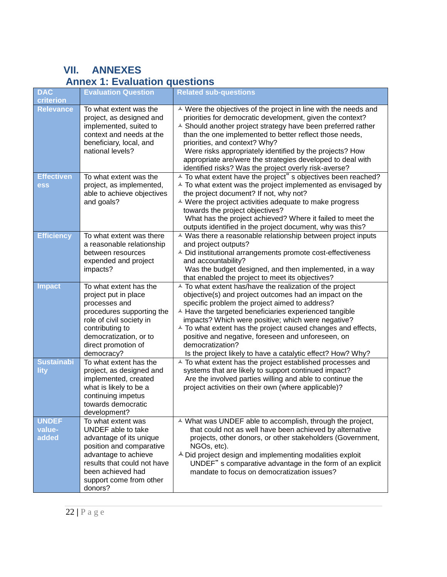# **VII. ANNEXES Annex 1: Evaluation questions**

| <b>DAC</b><br>criterion         | <b>Evaluation Question</b>                                                                                                                                                                                        | <b>Related sub-questions</b>                                                                                                                                                                                                                                                                                                                                                                                                                                                                                                            |
|---------------------------------|-------------------------------------------------------------------------------------------------------------------------------------------------------------------------------------------------------------------|-----------------------------------------------------------------------------------------------------------------------------------------------------------------------------------------------------------------------------------------------------------------------------------------------------------------------------------------------------------------------------------------------------------------------------------------------------------------------------------------------------------------------------------------|
| <b>Relevance</b>                | To what extent was the<br>project, as designed and<br>implemented, suited to<br>context and needs at the<br>beneficiary, local, and<br>national levels?                                                           | A Were the objectives of the project in line with the needs and<br>priorities for democratic development, given the context?<br><sup><math>\triangle</math></sup> Should another project strategy have been preferred rather<br>than the one implemented to better reflect those needs,<br>priorities, and context? Why?<br>Were risks appropriately identified by the projects? How<br>appropriate are/were the strategies developed to deal with<br>identified risks? Was the project overly risk-averse?                             |
| <b>Effectiven</b><br>ess        | To what extent was the<br>project, as implemented,<br>able to achieve objectives<br>and goals?                                                                                                                    | <sup>A</sup> To what extent have the project" s objectives been reached?<br>$\triangle$ To what extent was the project implemented as envisaged by<br>the project document? If not, why not?<br>A Were the project activities adequate to make progress<br>towards the project objectives?<br>What has the project achieved? Where it failed to meet the<br>outputs identified in the project document, why was this?                                                                                                                   |
| <b>Efficiency</b>               | To what extent was there<br>a reasonable relationship<br>between resources<br>expended and project<br>impacts?                                                                                                    | ▲ Was there a reasonable relationship between project inputs<br>and project outputs?<br>▲ Did institutional arrangements promote cost-effectiveness<br>and accountability?<br>Was the budget designed, and then implemented, in a way<br>that enabled the project to meet its objectives?                                                                                                                                                                                                                                               |
| <b>Impact</b>                   | To what extent has the<br>project put in place<br>processes and<br>procedures supporting the<br>role of civil society in<br>contributing to<br>democratization, or to<br>direct promotion of<br>democracy?        | <sup><math>\triangle</math></sup> To what extent has/have the realization of the project<br>objective(s) and project outcomes had an impact on the<br>specific problem the project aimed to address?<br>A Have the targeted beneficiaries experienced tangible<br>impacts? Which were positive; which were negative?<br>$\triangle$ To what extent has the project caused changes and effects,<br>positive and negative, foreseen and unforeseen, on<br>democratization?<br>Is the project likely to have a catalytic effect? How? Why? |
| <b>Sustainabi</b><br>lity       | To what extent has the<br>project, as designed and<br>implemented, created<br>what is likely to be a<br>continuing impetus<br>towards democratic<br>development?                                                  | <sup><math>\triangle</math></sup> To what extent has the project established processes and<br>systems that are likely to support continued impact?<br>Are the involved parties willing and able to continue the<br>project activities on their own (where applicable)?                                                                                                                                                                                                                                                                  |
| <b>UNDEF</b><br>value-<br>added | To what extent was<br>UNDEF able to take<br>advantage of its unique<br>position and comparative<br>advantage to achieve<br>results that could not have<br>been achieved had<br>support come from other<br>donors? | ▲ What was UNDEF able to accomplish, through the project,<br>that could not as well have been achieved by alternative<br>projects, other donors, or other stakeholders (Government,<br>NGOs, etc).<br>$\triangle$ Did project design and implementing modalities exploit<br>UNDEF" s comparative advantage in the form of an explicit<br>mandate to focus on democratization issues?                                                                                                                                                    |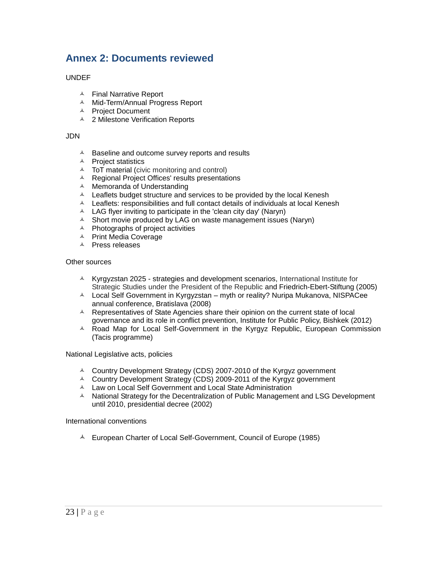# **Annex 2: Documents reviewed**

### UNDEF

- A Final Narrative Report
- A Mid-Term/Annual Progress Report
- A Project Document
- <sup>4</sup> 2 Milestone Verification Reports

#### JDN

- A Baseline and outcome survey reports and results
- $\triangle$  Project statistics
- A ToT material (civic monitoring and control)
- A Regional Project Offices' results presentations
- $\triangle$  Memoranda of Understanding
- $\triangle$  Leaflets budget structure and services to be provided by the local Kenesh
- $\textstyle\triangle$  Leaflets: responsibilities and full contact details of individuals at local Kenesh
- $\triangle$  LAG flyer inviting to participate in the 'clean city day' (Naryn)
- $\triangle$  Short movie produced by LAG on waste management issues (Naryn)
- $\triangle$  Photographs of project activities
- A Print Media Coverage
- A Press releases

#### Other sources

- $\textstyle\blacktriangle$  Kyrgyzstan 2025 strategies and development scenarios, International Institute for Strategic Studies under the President of the Republic and Friedrich-Ebert-Stiftung (2005)
- A Local Self Government in Kyrgyzstan myth or reality? Nuripa Mukanova, NISPACee annual conference, Bratislava (2008)
- $\lambda$  Representatives of State Agencies share their opinion on the current state of local governance and its role in conflict prevention, Institute for Public Policy, Bishkek (2012)
- $\triangle$  Road Map for Local Self-Government in the Kyrgyz Republic, European Commission (Tacis programme)

National Legislative acts, policies

- $\sim$  Country Development Strategy (CDS) 2007-2010 of the Kyrgyz government
- $\sim$  Country Development Strategy (CDS) 2009-2011 of the Kyrgyz government
- A Law on Local Self Government and Local State Administration
- A National Strategy for the Decentralization of Public Management and LSG Development until 2010, presidential decree (2002)

International conventions

<sup> $\AA$ </sup> European Charter of Local Self-Government, Council of Europe (1985)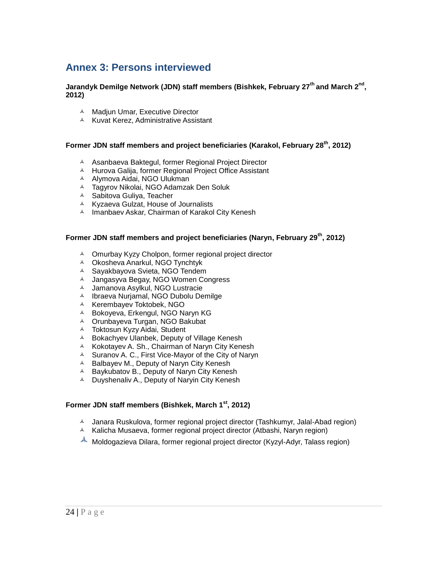# **Annex 3: Persons interviewed**

### **Jarandyk Demilge Network (JDN) staff members (Bishkek, February 27th and March 2nd , 2012)**

- A Madjun Umar, Executive Director
- A Kuvat Kerez, Administrative Assistant

### **Former JDN staff members and project beneficiaries (Karakol, February 28th, 2012)**

- A Asanbaeva Baktegul, former Regional Project Director
- A Hurova Galija, former Regional Project Office Assistant
- A Alymova Aidai, NGO Ulukman
- Tagyrov Nikolai, NGO Adamzak Den Soluk
- **A** Sabitova Guliya, Teacher
- $\triangle$  Kyzaeva Gulzat, House of Journalists
- A Imanbaev Askar, Chairman of Karakol City Kenesh

### **Former JDN staff members and project beneficiaries (Naryn, February 29th, 2012)**

- A Omurbay Kyzy Cholpon, former regional project director
- Okosheva Anarkul, NGO Tynchtyk
- Sayakbayova Svieta, NGO Tendem
- A Jangasyva Begay, NGO Women Congress
- Jamanova Asylkul, NGO Lustracie
- A Ibraeva Nurjamal, NGO Dubolu Demilge
- A Kerembayev Toktobek, NGO
- A Bokoyeva, Erkengul, NGO Naryn KG
- A Orunbayeva Turgan, NGO Bakubat
- Toktosun Kyzy Aidai, Student
- A Bokachyev Ulanbek, Deputy of Village Kenesh
- **A** Kokotayev A. Sh., Chairman of Naryn City Kenesh
- $\triangle$  Suranov A. C., First Vice-Mayor of the City of Naryn
- $\triangle$  Balbayev M., Deputy of Naryn City Kenesh
- $\triangle$  Baykubatov B., Deputy of Naryn City Kenesh
- <sup> $\triangle$ </sup> Duyshenaliv A., Deputy of Naryin City Kenesh

### **Former JDN staff members (Bishkek, March 1st, 2012)**

- A Janara Ruskulova, former regional project director (Tashkumyr, Jalal-Abad region)
- $\triangle$  Kalicha Musaeva, former regional project director (Atbashi, Naryn region)
- $\triangle$  Moldogazieva Dilara, former regional project director (Kyzyl-Adyr, Talass region)